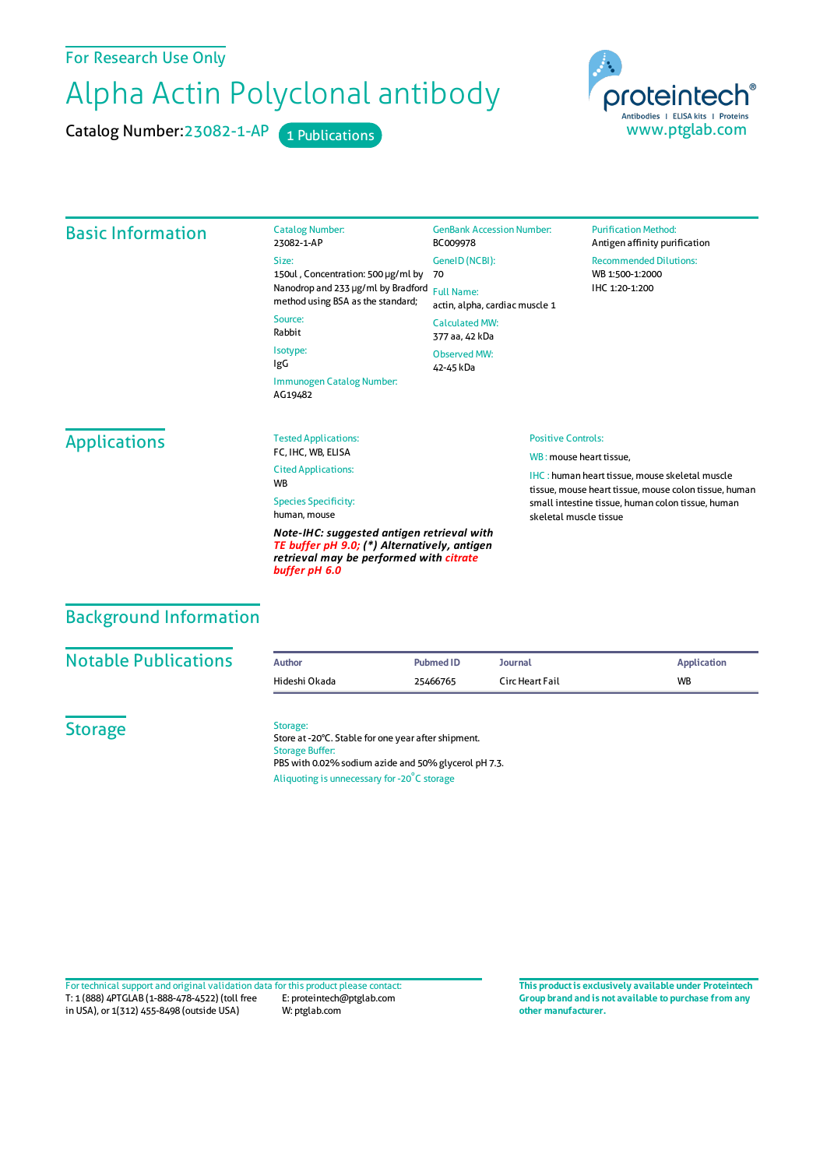For Research Use Only

## Alpha Actin Polyclonal antibody

Catalog Number: 23082-1-AP 1 Publications



| <b>Basic Information</b>                                                                                                                               | <b>Catalog Number:</b><br>23082-1-AP                                                                                                                           | <b>GenBank Accession Number:</b><br>BC009978                                | <b>Purification Method:</b><br>Antigen affinity purification                                                                              |                                         |
|--------------------------------------------------------------------------------------------------------------------------------------------------------|----------------------------------------------------------------------------------------------------------------------------------------------------------------|-----------------------------------------------------------------------------|-------------------------------------------------------------------------------------------------------------------------------------------|-----------------------------------------|
|                                                                                                                                                        | Size:<br>150ul, Concentration: 500 µg/ml by<br>Nanodrop and 233 µg/ml by Bradford<br>method using BSA as the standard;<br>Source:<br>Rabbit<br>Isotype:<br>IgG | GeneID (NCBI):<br>70<br><b>Full Name:</b><br>actin, alpha, cardiac muscle 1 | <b>Recommended Dilutions:</b><br>WB 1:500-1:2000<br>IHC 1:20-1:200                                                                        |                                         |
|                                                                                                                                                        |                                                                                                                                                                |                                                                             |                                                                                                                                           | <b>Calculated MW:</b><br>377 aa, 42 kDa |
|                                                                                                                                                        |                                                                                                                                                                | <b>Observed MW:</b><br>42-45 kDa                                            |                                                                                                                                           |                                         |
|                                                                                                                                                        |                                                                                                                                                                | Immunogen Catalog Number:<br>AG19482                                        |                                                                                                                                           |                                         |
|                                                                                                                                                        | <b>Applications</b>                                                                                                                                            | <b>Positive Controls:</b><br><b>Tested Applications:</b>                    |                                                                                                                                           |                                         |
| FC, IHC, WB, ELISA                                                                                                                                     |                                                                                                                                                                |                                                                             | WB: mouse heart tissue,<br><b>IHC:</b> human heart tissue, mouse skeletal muscle<br>tissue, mouse heart tissue, mouse colon tissue, human |                                         |
| <b>Cited Applications:</b><br><b>WB</b>                                                                                                                |                                                                                                                                                                |                                                                             |                                                                                                                                           |                                         |
| <b>Species Specificity:</b>                                                                                                                            |                                                                                                                                                                |                                                                             | small intestine tissue, human colon tissue, human                                                                                         |                                         |
| human, mouse                                                                                                                                           |                                                                                                                                                                |                                                                             | skeletal muscle tissue                                                                                                                    |                                         |
| Note-IHC: suggested antigen retrieval with<br>TE buffer pH 9.0; (*) Alternatively, antigen<br>retrieval may be performed with citrate<br>buffer pH 6.0 |                                                                                                                                                                |                                                                             |                                                                                                                                           |                                         |

## Background Information

**Notable Publications Author PubmedID Journal Application Application** Hideshi Okada 25466765 Circ Heart Fail WB

**Storage** 

Storage:

Store at -20°C. Stable for one year after shipment. Storage Buffer: PBS with 0.02% sodium azide and 50% glycerol pH 7.3. Aliquoting is unnecessary for -20<sup>°</sup>C storage

T: 1 (888) 4PTGLAB (1-888-478-4522) (toll free in USA), or 1(312) 455-8498 (outside USA) E: proteintech@ptglab.com W: ptglab.com Fortechnical support and original validation data forthis product please contact: **This productis exclusively available under Proteintech**

**Group brand and is not available to purchase from any other manufacturer.**